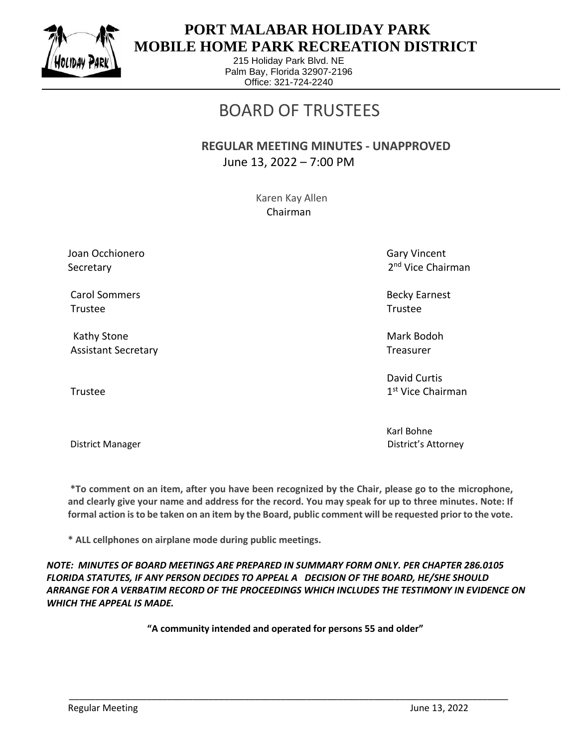

## **PORT MALABAR HOLIDAY PARK MOBILE HOME PARK RECREATION DISTRICT**

215 Holiday Park Blvd. NE Palm Bay, Florida 32907-2196 Office: 321-724-2240

# BOARD OF TRUSTEES

 **REGULAR MEETING MINUTES - UNAPPROVED** June 13, 2022 – 7:00 PM

> Karen Kay Allen Chairman

Joan Occhionero Gary Vincent Communication of the Gary Vincent Communication of Gary Vincent Secretary

Carol Sommers Becky Earnest Trustee Trustee

Kathy Stone Mark Bodoh Nark Bodoh Mark Bodoh Nark Bodoh Nark Bodoh Nark Bodoh Nark Bodoh Nark Bodoh Nark Bodoh Assistant Secretary Treasurer Treasurer Treasurer

Trustee and the state of the state of the state of the state of the state of the state of the state of the state of the state of the state of the state of the state of the state of the state of the state of the state of th

2<sup>nd</sup> Vice Chairman

 David Curtis 1st Vice Chairman

Karl Bohne District Manager District's Attorney

**\*To comment on an item, after you have been recognized by the Chair, please go to the microphone, and clearly give your name and address for the record. You may speak for up to three minutes. Note: If formal action is to be taken on an item by the Board, public comment will be requested prior to the vote.**

**\* ALL cellphones on airplane mode during public meetings.**

*NOTE: MINUTES OF BOARD MEETINGS ARE PREPARED IN SUMMARY FORM ONLY. PER CHAPTER 286.0105 FLORIDA STATUTES, IF ANY PERSON DECIDES TO APPEAL A DECISION OF THE BOARD, HE/SHE SHOULD ARRANGE FOR A VERBATIM RECORD OF THE PROCEEDINGS WHICH INCLUDES THE TESTIMONY IN EVIDENCE ON WHICH THE APPEAL IS MADE.*

**"A community intended and operated for persons 55 and older"**

\_\_\_\_\_\_\_\_\_\_\_\_\_\_\_\_\_\_\_\_\_\_\_\_\_\_\_\_\_\_\_\_\_\_\_\_\_\_\_\_\_\_\_\_\_\_\_\_\_\_\_\_\_\_\_\_\_\_\_\_\_\_\_\_\_\_\_\_\_\_\_\_\_\_\_\_\_\_\_\_\_\_\_\_\_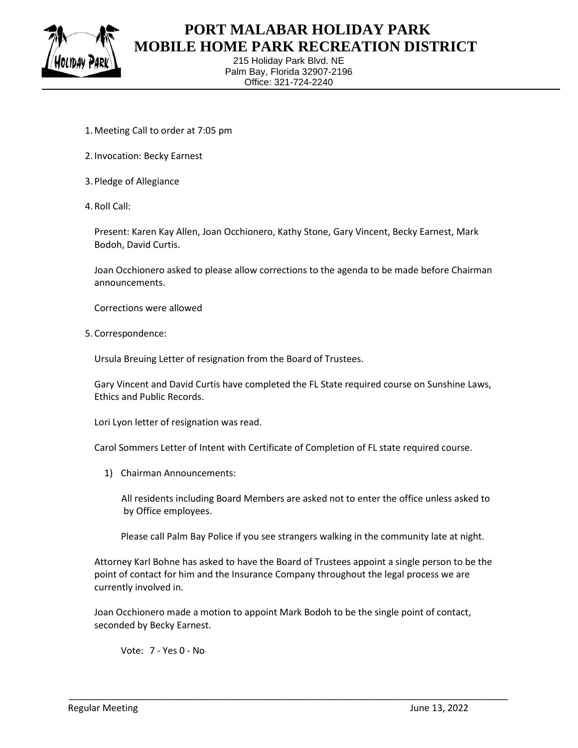

## **PORT MALABAR HOLIDAY PARK MOBILE HOME PARK RECREATION DISTRICT**

215 Holiday Park Blvd. NE Palm Bay, Florida 32907-2196 Office: 321-724-2240

- 1.Meeting Call to order at 7:05 pm
- 2. Invocation: Becky Earnest
- 3. Pledge of Allegiance
- 4. Roll Call:

Present: Karen Kay Allen, Joan Occhionero, Kathy Stone, Gary Vincent, Becky Earnest, Mark Bodoh, David Curtis.

Joan Occhionero asked to please allow corrections to the agenda to be made before Chairman announcements.

Corrections were allowed

5. Correspondence:

Ursula Breuing Letter of resignation from the Board of Trustees.

Gary Vincent and David Curtis have completed the FL State required course on Sunshine Laws, Ethics and Public Records.

Lori Lyon letter of resignation was read.

Carol Sommers Letter of Intent with Certificate of Completion of FL state required course.

1) Chairman Announcements:

All residents including Board Members are asked not to enter the office unless asked to by Office employees.

Please call Palm Bay Police if you see strangers walking in the community late at night.

Attorney Karl Bohne has asked to have the Board of Trustees appoint a single person to be the point of contact for him and the Insurance Company throughout the legal process we are currently involved in.

Joan Occhionero made a motion to appoint Mark Bodoh to be the single point of contact, seconded by Becky Earnest.

\_\_\_\_\_\_\_\_\_\_\_\_\_\_\_\_\_\_\_\_\_\_\_\_\_\_\_\_\_\_\_\_\_\_\_\_\_\_\_\_\_\_\_\_\_\_\_\_\_\_\_\_\_\_\_\_\_\_\_\_\_\_\_\_\_\_\_\_\_\_\_\_\_\_\_\_\_\_\_\_\_\_\_\_\_

Vote: 7 - Yes 0 - No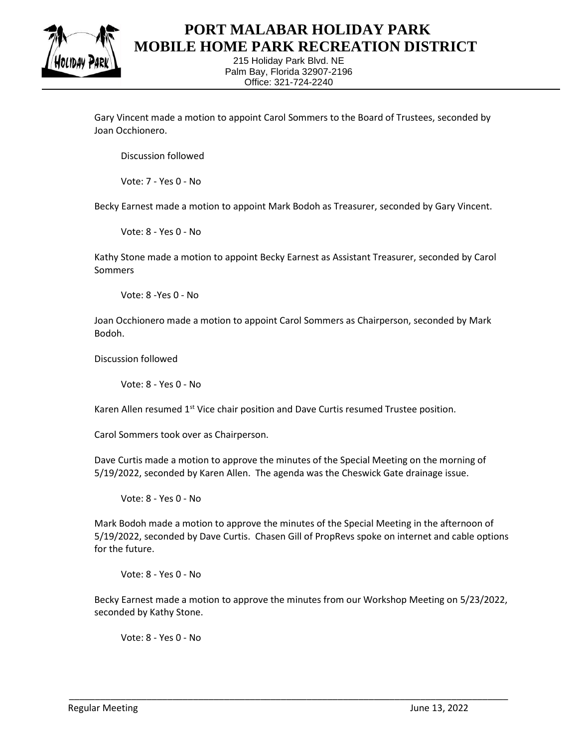

#### **PORT MALABAR HOLIDAY PARK MOBILE HOME PARK RECREATION DISTRICT**

215 Holiday Park Blvd. NE Palm Bay, Florida 32907-2196 Office: 321-724-2240

Gary Vincent made a motion to appoint Carol Sommers to the Board of Trustees, seconded by Joan Occhionero.

Discussion followed

Vote: 7 - Yes 0 - No

Becky Earnest made a motion to appoint Mark Bodoh as Treasurer, seconded by Gary Vincent.

Vote: 8 - Yes 0 - No

Kathy Stone made a motion to appoint Becky Earnest as Assistant Treasurer, seconded by Carol Sommers

Vote: 8 -Yes 0 - No

Joan Occhionero made a motion to appoint Carol Sommers as Chairperson, seconded by Mark Bodoh.

Discussion followed

Vote: 8 - Yes 0 - No

Karen Allen resumed  $1<sup>st</sup>$  Vice chair position and Dave Curtis resumed Trustee position.

Carol Sommers took over as Chairperson.

Dave Curtis made a motion to approve the minutes of the Special Meeting on the morning of 5/19/2022, seconded by Karen Allen. The agenda was the Cheswick Gate drainage issue.

Vote: 8 - Yes 0 - No

Mark Bodoh made a motion to approve the minutes of the Special Meeting in the afternoon of 5/19/2022, seconded by Dave Curtis. Chasen Gill of PropRevs spoke on internet and cable options for the future.

Vote: 8 - Yes 0 - No

Becky Earnest made a motion to approve the minutes from our Workshop Meeting on 5/23/2022, seconded by Kathy Stone.

\_\_\_\_\_\_\_\_\_\_\_\_\_\_\_\_\_\_\_\_\_\_\_\_\_\_\_\_\_\_\_\_\_\_\_\_\_\_\_\_\_\_\_\_\_\_\_\_\_\_\_\_\_\_\_\_\_\_\_\_\_\_\_\_\_\_\_\_\_\_\_\_\_\_\_\_\_\_\_\_\_\_\_\_\_

Vote: 8 - Yes 0 - No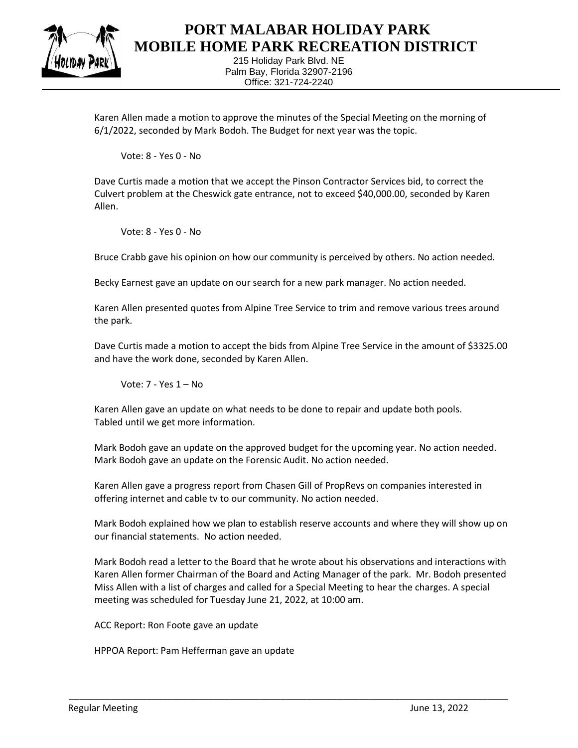

#### **PORT MALABAR HOLIDAY PARK MOBILE HOME PARK RECREATION DISTRICT**

215 Holiday Park Blvd. NE Palm Bay, Florida 32907-2196 Office: 321-724-2240

Karen Allen made a motion to approve the minutes of the Special Meeting on the morning of 6/1/2022, seconded by Mark Bodoh. The Budget for next year was the topic.

Vote: 8 - Yes 0 - No

Dave Curtis made a motion that we accept the Pinson Contractor Services bid, to correct the Culvert problem at the Cheswick gate entrance, not to exceed \$40,000.00, seconded by Karen Allen.

Vote: 8 - Yes 0 - No

Bruce Crabb gave his opinion on how our community is perceived by others. No action needed.

Becky Earnest gave an update on our search for a new park manager. No action needed.

Karen Allen presented quotes from Alpine Tree Service to trim and remove various trees around the park.

Dave Curtis made a motion to accept the bids from Alpine Tree Service in the amount of \$3325.00 and have the work done, seconded by Karen Allen.

Vote: 7 - Yes 1 – No

Karen Allen gave an update on what needs to be done to repair and update both pools. Tabled until we get more information.

Mark Bodoh gave an update on the approved budget for the upcoming year. No action needed. Mark Bodoh gave an update on the Forensic Audit. No action needed.

Karen Allen gave a progress report from Chasen Gill of PropRevs on companies interested in offering internet and cable tv to our community. No action needed.

Mark Bodoh explained how we plan to establish reserve accounts and where they will show up on our financial statements. No action needed.

Mark Bodoh read a letter to the Board that he wrote about his observations and interactions with Karen Allen former Chairman of the Board and Acting Manager of the park. Mr. Bodoh presented Miss Allen with a list of charges and called for a Special Meeting to hear the charges. A special meeting was scheduled for Tuesday June 21, 2022, at 10:00 am.

\_\_\_\_\_\_\_\_\_\_\_\_\_\_\_\_\_\_\_\_\_\_\_\_\_\_\_\_\_\_\_\_\_\_\_\_\_\_\_\_\_\_\_\_\_\_\_\_\_\_\_\_\_\_\_\_\_\_\_\_\_\_\_\_\_\_\_\_\_\_\_\_\_\_\_\_\_\_\_\_\_\_\_\_\_

ACC Report: Ron Foote gave an update

HPPOA Report: Pam Hefferman gave an update